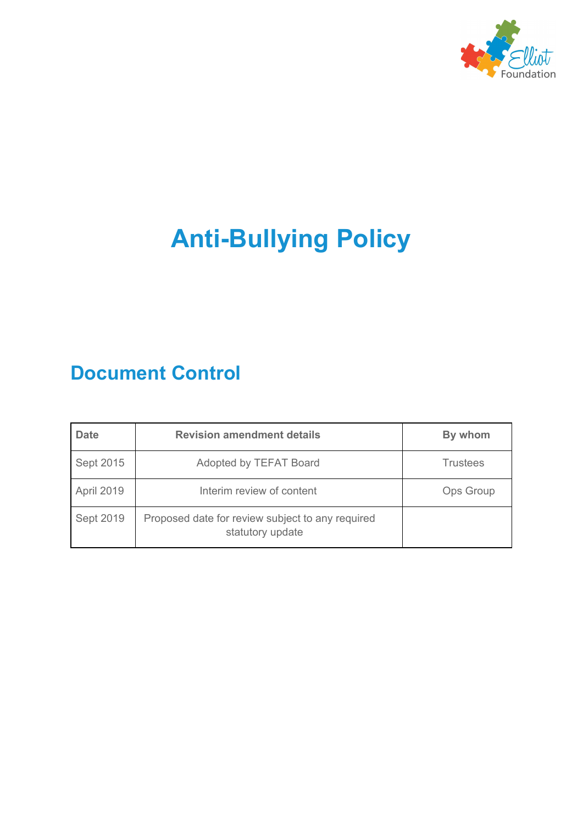

# **Anti-Bullying Policy**

## **Document Control**

| <b>Date</b> | <b>Revision amendment details</b>                                    | By whom          |
|-------------|----------------------------------------------------------------------|------------------|
| Sept 2015   | Adopted by TEFAT Board                                               | <b>Trustees</b>  |
| April 2019  | Interim review of content                                            | <b>Ops Group</b> |
| Sept 2019   | Proposed date for review subject to any required<br>statutory update |                  |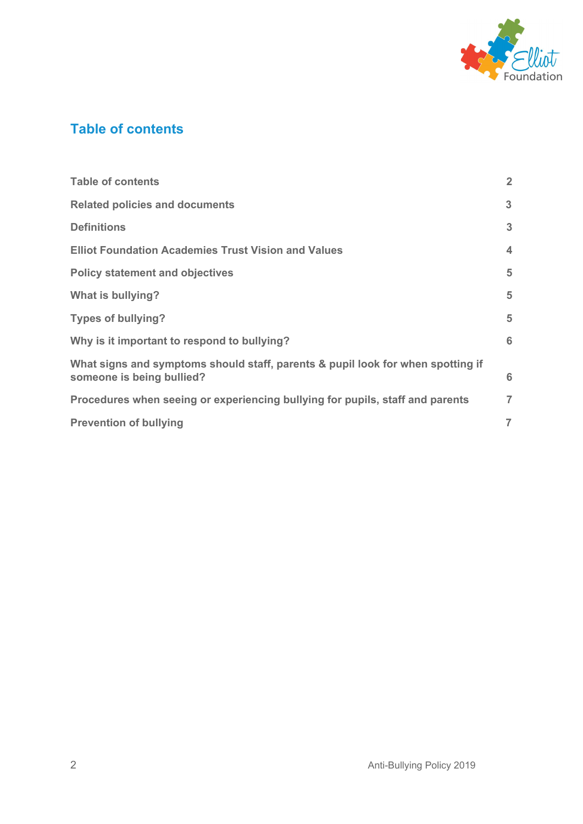

## <span id="page-1-0"></span>**Table of contents**

| <b>Table of contents</b>                                                                                     | $\overline{2}$   |
|--------------------------------------------------------------------------------------------------------------|------------------|
| <b>Related policies and documents</b>                                                                        | 3                |
| <b>Definitions</b>                                                                                           | 3                |
| <b>Elliot Foundation Academies Trust Vision and Values</b>                                                   | $\boldsymbol{4}$ |
| <b>Policy statement and objectives</b>                                                                       | 5                |
| What is bullying?                                                                                            | 5                |
| <b>Types of bullying?</b>                                                                                    | 5                |
| Why is it important to respond to bullying?                                                                  | 6                |
| What signs and symptoms should staff, parents & pupil look for when spotting if<br>someone is being bullied? | 6                |
| Procedures when seeing or experiencing bullying for pupils, staff and parents                                | $\overline{7}$   |
| <b>Prevention of bullying</b>                                                                                | $\overline{ }$   |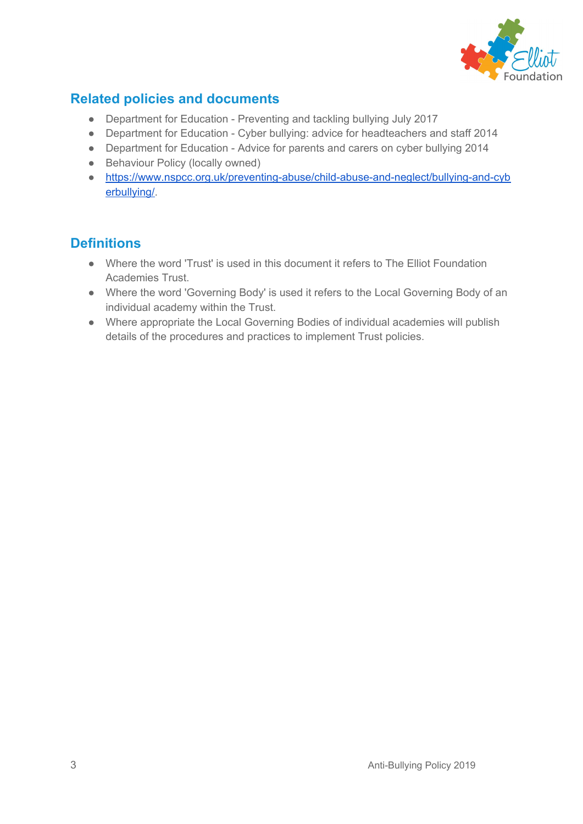

## <span id="page-2-0"></span>**Related policies and documents**

- Department for Education Preventing and tackling bullying July 2017
- Department for Education Cyber bullying: advice for headteachers and staff 2014
- Department for Education Advice for parents and carers on cyber bullying 2014
- Behaviour Policy (locally owned)
- [https://www.nspcc.org.uk/preventing-abuse/child-abuse-and-neglect/bullying-and-cyb](https://www.nspcc.org.uk/preventing-abuse/child-abuse-and-neglect/bullying-and-cyberbullying/) [erbullying/](https://www.nspcc.org.uk/preventing-abuse/child-abuse-and-neglect/bullying-and-cyberbullying/).

#### <span id="page-2-1"></span>**Definitions**

- Where the word 'Trust' is used in this document it refers to The Elliot Foundation Academies Trust.
- Where the word 'Governing Body' is used it refers to the Local Governing Body of an individual academy within the Trust.
- Where appropriate the Local Governing Bodies of individual academies will publish details of the procedures and practices to implement Trust policies.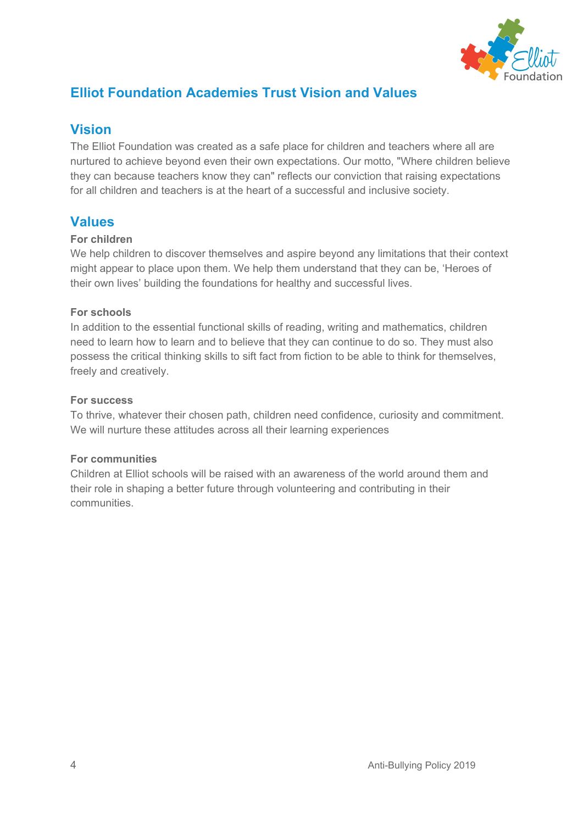

## <span id="page-3-0"></span>**Elliot Foundation Academies Trust Vision and Values**

#### **Vision**

The Elliot Foundation was created as a safe place for children and teachers where all are nurtured to achieve beyond even their own expectations. Our motto, "Where children believe they can because teachers know they can" reflects our conviction that raising expectations for all children and teachers is at the heart of a successful and inclusive society.

#### **Values**

#### **For children**

We help children to discover themselves and aspire beyond any limitations that their context might appear to place upon them. We help them understand that they can be, 'Heroes of their own lives' building the foundations for healthy and successful lives.

#### **For schools**

In addition to the essential functional skills of reading, writing and mathematics, children need to learn how to learn and to believe that they can continue to do so. They must also possess the critical thinking skills to sift fact from fiction to be able to think for themselves, freely and creatively.

#### **For success**

To thrive, whatever their chosen path, children need confidence, curiosity and commitment. We will nurture these attitudes across all their learning experiences

#### **For communities**

Children at Elliot schools will be raised with an awareness of the world around them and their role in shaping a better future through volunteering and contributing in their communities.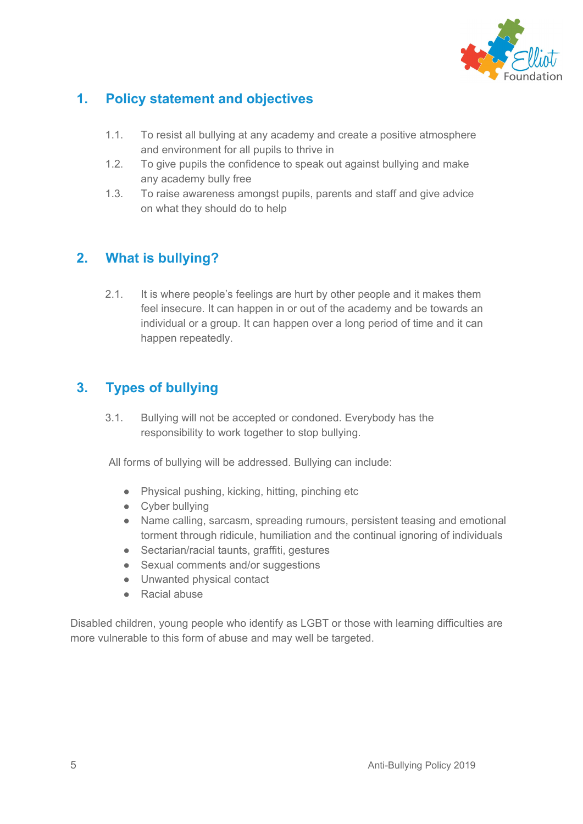

## **1. Policy statement and objectives**

- 1.1. To resist all bullying at any academy and create a positive atmosphere and environment for all pupils to thrive in
- 1.2. To give pupils the confidence to speak out against bullying and make any academy bully free
- 1.3. To raise awareness amongst pupils, parents and staff and give advice on what they should do to help

## **2. What is bullying?**

2.1. It is where people's feelings are hurt by other people and it makes them feel insecure. It can happen in or out of the academy and be towards an individual or a group. It can happen over a long period of time and it can happen repeatedly.

### **3. Types of bullying**

3.1. Bullying will not be accepted or condoned. Everybody has the responsibility to work together to stop bullying.

All forms of bullying will be addressed. Bullying can include:

- Physical pushing, kicking, hitting, pinching etc
- Cyber bullying
- Name calling, sarcasm, spreading rumours, persistent teasing and emotional torment through ridicule, humiliation and the continual ignoring of individuals
- Sectarian/racial taunts, graffiti, gestures
- Sexual comments and/or suggestions
- Unwanted physical contact
- Racial abuse

Disabled children, young people who identify as LGBT or those with learning difficulties are more vulnerable to this form of abuse and may well be targeted.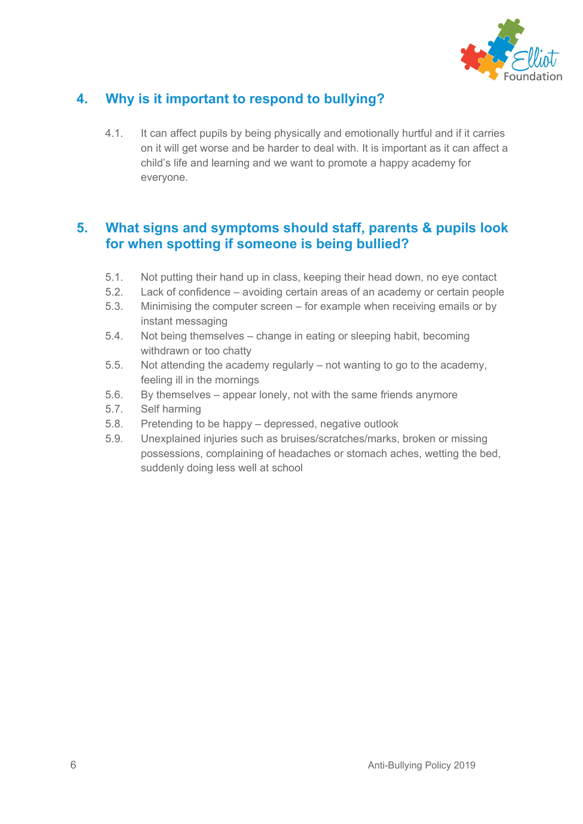

## **4. Why is it important to respond to bullying?**

4.1. It can affect pupils by being physically and emotionally hurtful and if it carries on it will get worse and be harder to deal with. It is important as it can affect a child's life and learning and we want to promote a happy academy for everyone.

#### **5. What signs and symptoms should staff, parents & pupils look for when spotting if someone is being bullied?**

- 5.1. Not putting their hand up in class, keeping their head down, no eye contact
- 5.2. Lack of confidence avoiding certain areas of an academy or certain people
- 5.3. Minimising the computer screen for example when receiving emails or by instant messaging
- 5.4. Not being themselves change in eating or sleeping habit, becoming withdrawn or too chatty
- 5.5. Not attending the academy regularly not wanting to go to the academy, feeling ill in the mornings
- 5.6. By themselves appear lonely, not with the same friends anymore
- 5.7. Self harming
- 5.8. Pretending to be happy depressed, negative outlook
- 5.9. Unexplained injuries such as bruises/scratches/marks, broken or missing possessions, complaining of headaches or stomach aches, wetting the bed, suddenly doing less well at school